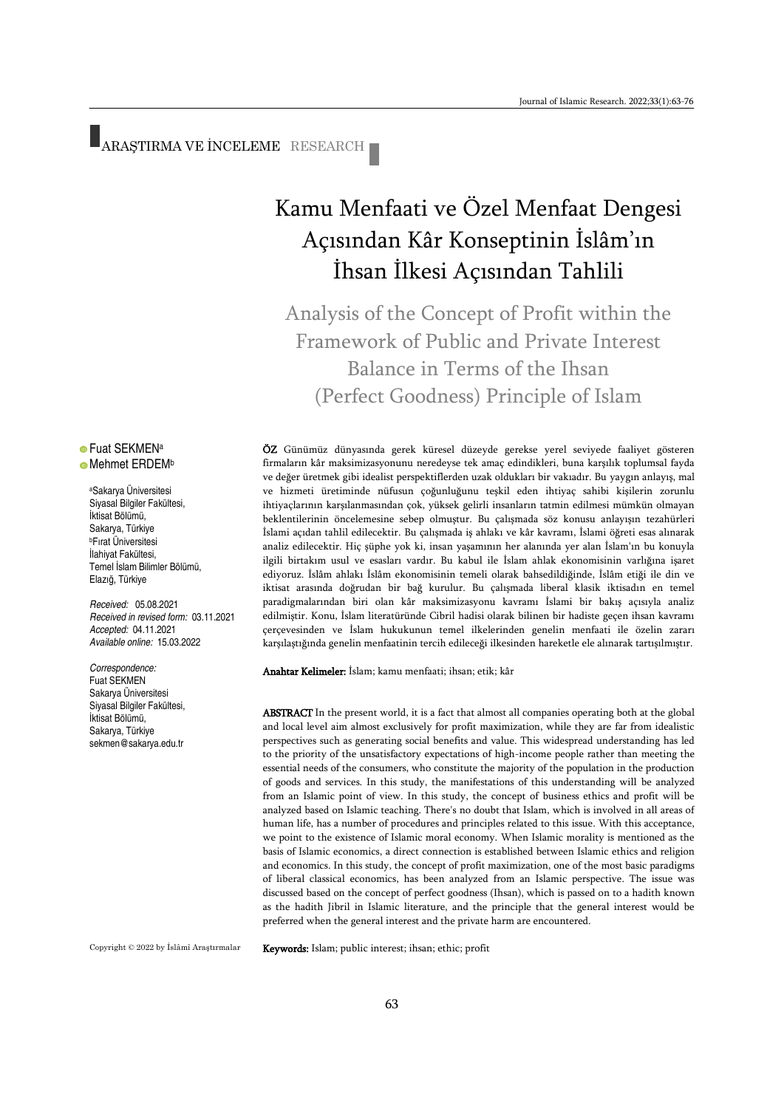ARAŞTIRMA VE İNCELEME RESEARCH

# Kamu Menfaati ve Özel Menfaat Dengesi Açısından Kâr Konseptinin İslâm'ın İhsan İlkesi Açısından Tahlili

Analysis of the Concept of Profit within the Framework of Public and Private Interest Balance in Terms of the Ihsan (Perfect Goodness) Principle of Islam

ÖZ Günümüz dünyasında gerek küresel düzeyde gerekse yerel seviyede faaliyet gösteren firmaların kâr maksimizasyonunu neredeyse tek amaç edindikleri, buna karşılık toplumsal fayda ve değer üretmek gibi idealist perspektiflerden uzak oldukları bir vakıadır. Bu yaygın anlayış, mal ve hizmeti üretiminde nüfusun çoğunluğunu teşkil eden ihtiyaç sahibi kişilerin zorunlu ihtiyaçlarının karşılanmasından çok, yüksek gelirli insanların tatmin edilmesi mümkün olmayan beklentilerinin öncelemesine sebep olmuştur. Bu çalışmada söz konusu anlayışın tezahürleri İslami açıdan tahlil edilecektir. Bu çalışmada iş ahlakı ve kâr kavramı, İslami öğreti esas alınarak analiz edilecektir. Hiç şüphe yok ki, insan yaşamının her alanında yer alan İslam'ın bu konuyla ilgili birtakım usul ve esasları vardır. Bu kabul ile İslam ahlak ekonomisinin varlığına işaret ediyoruz. İslâm ahlakı İslâm ekonomisinin temeli olarak bahsedildiğinde, İslâm etiği ile din ve iktisat arasında doğrudan bir bağ kurulur. Bu çalışmada liberal klasik iktisadın en temel paradigmalarından biri olan kâr maksimizasyonu kavramı İslami bir bakış açısıyla analiz edilmiştir. Konu, İslam literatüründe Cibril hadisi olarak bilinen bir hadiste geçen ihsan kavramı çerçevesinden ve İslam hukukunun temel ilkelerinden genelin menfaati ile özelin zararı karşılaştığında genelin menfaatinin tercih edileceği ilkesinden hareketle ele alınarak tartışılmıştır.

Anahtar Kelimeler: İslam; kamu menfaati; ihsan; etik; kâr

ABSTRACT In the present world, it is a fact that almost all companies operating both at the global and local level aim almost exclusively for profit maximization, while they are far from idealistic perspectives such as generating social benefits and value. This widespread understanding has led to the priority of the unsatisfactory expectations of high-income people rather than meeting the essential needs of the consumers, who constitute the majority of the population in the production of goods and services. In this study, the manifestations of this understanding will be analyzed from an Islamic point of view. In this study, the concept of business ethics and profit will be analyzed based on Islamic teaching. There's no doubt that Islam, which is involved in all areas of human life, has a number of procedures and principles related to this issue. With this acceptance, we point to the existence of Islamic moral economy. When Islamic morality is mentioned as the basis of Islamic economics, a direct connection is established between Islamic ethics and religion and economics. In this study, the concept of profit maximization, one of the most basic paradigms of liberal classical economics, has been analyzed from an Islamic perspective. The issue was discussed based on the concept of perfect goodness (Ihsan), which is passed on to a hadith known as the hadith Jibril in Islamic literature, and the principle that the general interest would be preferred when the general interest and the private harm are encountered.

Copyright © 2022 by İslâmî Araştırmalar

Keywords: Islam; public interest; ihsan; ethic; profit

#### **• Fuat SEKMENa Mehmet ERDEMb**

<sup>a</sup>Sakarya Üniversitesi Siyasal Bilgiler Fakültesi, İktisat Bölümü, Sakarya, Türkiye <sup>b</sup>Fırat Üniversitesi İlahiyat Fakültesi, Temel İslam Bilimler Bölümü, Elazığ, Türkiye

*Received:* 05.08.2021 *Received in revised form:* 03.11.2021 *Accepted:* 04.11.2021 *Available online:* 15.03.2022

*Correspondence:* Fuat SEKMEN Sakarya Üniversitesi Siyasal Bilgiler Fakültesi, İktisat Bölümü, Sakarya, Türkiye [sekmen@sakarya.edu.tr](mailto:sekmen@sakarya.edu.tr)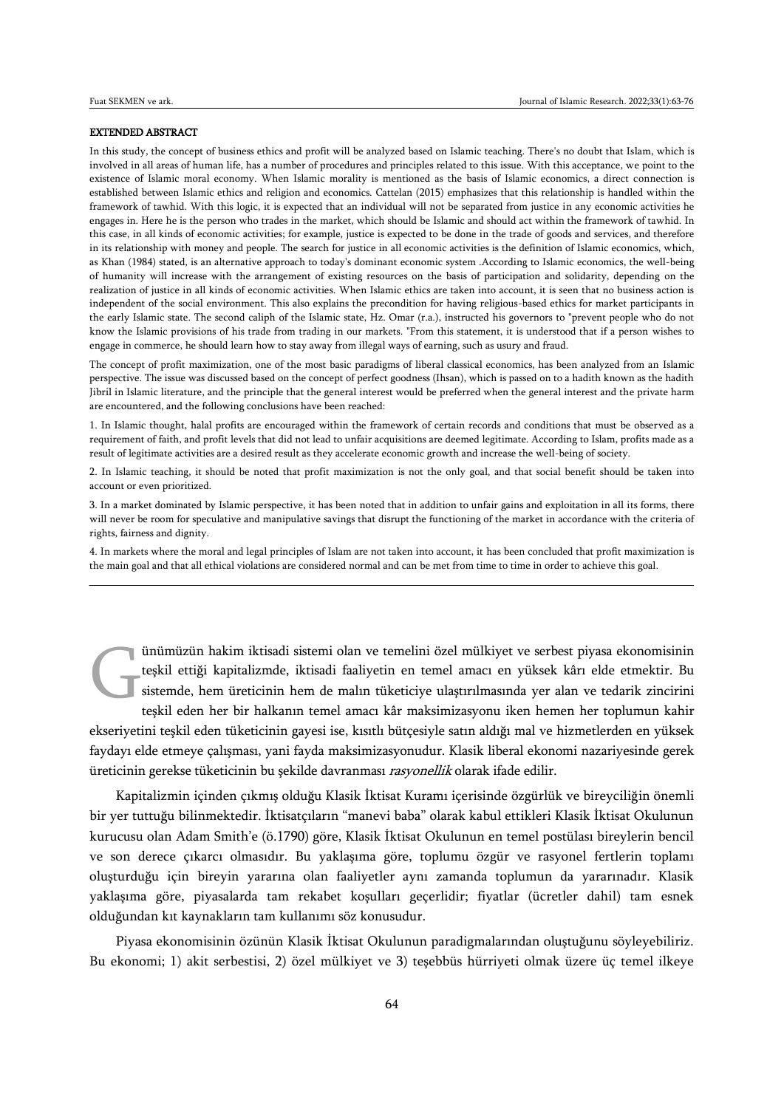#### EXTENDED ABSTRACT

In this study, the concept of business ethics and profit will be analyzed based on Islamic teaching. There's no doubt that Islam, which is involved in all areas of human life, has a number of procedures and principles related to this issue. With this acceptance, we point to the existence of Islamic moral economy. When Islamic morality is mentioned as the basis of Islamic economics, a direct connection is established between Islamic ethics and religion and economics. Cattelan (2015) emphasizes that this relationship is handled within the framework of tawhid. With this logic, it is expected that an individual will not be separated from justice in any economic activities he engages in. Here he is the person who trades in the market, which should be Islamic and should act within the framework of tawhid. In this case, in all kinds of economic activities; for example, justice is expected to be done in the trade of goods and services, and therefore in its relationship with money and people. The search for justice in all economic activities is the definition of Islamic economics, which, as Khan (1984) stated, is an alternative approach to today's dominant economic system .According to Islamic economics, the well-being of humanity will increase with the arrangement of existing resources on the basis of participation and solidarity, depending on the realization of justice in all kinds of economic activities. When Islamic ethics are taken into account, it is seen that no business action is independent of the social environment. This also explains the precondition for having religious-based ethics for market participants in the early Islamic state. The second caliph of the Islamic state, Hz. Omar (r.a.), instructed his governors to "prevent people who do not know the Islamic provisions of his trade from trading in our markets. "From this statement, it is understood that if a person wishes to engage in commerce, he should learn how to stay away from illegal ways of earning, such as usury and fraud.

The concept of profit maximization, one of the most basic paradigms of liberal classical economics, has been analyzed from an Islamic perspective. The issue was discussed based on the concept of perfect goodness (Ihsan), which is passed on to a hadith known as the hadith Jibril in Islamic literature, and the principle that the general interest would be preferred when the general interest and the private harm are encountered, and the following conclusions have been reached:

1. In Islamic thought, halal profits are encouraged within the framework of certain records and conditions that must be observed as a requirement of faith, and profit levels that did not lead to unfair acquisitions are deemed legitimate. According to Islam, profits made as a result of legitimate activities are a desired result as they accelerate economic growth and increase the well-being of society.

2. In Islamic teaching, it should be noted that profit maximization is not the only goal, and that social benefit should be taken into account or even prioritized.

3. In a market dominated by Islamic perspective, it has been noted that in addition to unfair gains and exploitation in all its forms, there will never be room for speculative and manipulative savings that disrupt the functioning of the market in accordance with the criteria of rights, fairness and dignity.

4. In markets where the moral and legal principles of Islam are not taken into account, it has been concluded that profit maximization is the main goal and that all ethical violations are considered normal and can be met from time to time in order to achieve this goal.

ünümüzün hakim iktisadi sistemi olan ve temelini özel mülkiyet ve serbest piyasa ekonomisinin teşkil ettiği kapitalizmde, iktisadi faaliyetin en temel amacı en yüksek kârı elde etmektir. Bu sistemde, hem üreticinin hem de malın tüketiciye ulaştırılmasında yer alan ve tedarik zincirini teşkil eden her bir halkanın temel amacı kâr maksimizasyonu iken hemen her toplumun kahir ekseriyetini teşkil eden tüketicinin gayesi ise, kısıtlı bütçesiyle satın aldığı mal ve hizmetlerden en yüksek faydayı elde etmeye çalışması, yani fayda maksimizasyonudur. Klasik liberal ekonomi nazariyesinde gerek üreticinin gerekse tüketicinin bu şekilde davranması rasyonellik olarak ifade edilir. G

Kapitalizmin içinden çıkmış olduğu Klasik İktisat Kuramı içerisinde özgürlük ve bireyciliğin önemli bir yer tuttuğu bilinmektedir. İktisatçıların "manevi baba" olarak kabul ettikleri Klasik İktisat Okulunun kurucusu olan Adam Smith'e (ö.1790) göre, Klasik İktisat Okulunun en temel postülası bireylerin bencil ve son derece çıkarcı olmasıdır. Bu yaklaşıma göre, toplumu özgür ve rasyonel fertlerin toplamı oluşturduğu için bireyin yararına olan faaliyetler aynı zamanda toplumun da yararınadır. Klasik yaklaşıma göre, piyasalarda tam rekabet koşulları geçerlidir; fiyatlar (ücretler dahil) tam esnek olduğundan kıt kaynakların tam kullanımı söz konusudur.

Piyasa ekonomisinin özünün Klasik İktisat Okulunun paradigmalarından oluştuğunu söyleyebiliriz. Bu ekonomi; 1) akit serbestisi, 2) özel mülkiyet ve 3) teşebbüs hürriyeti olmak üzere üç temel ilkeye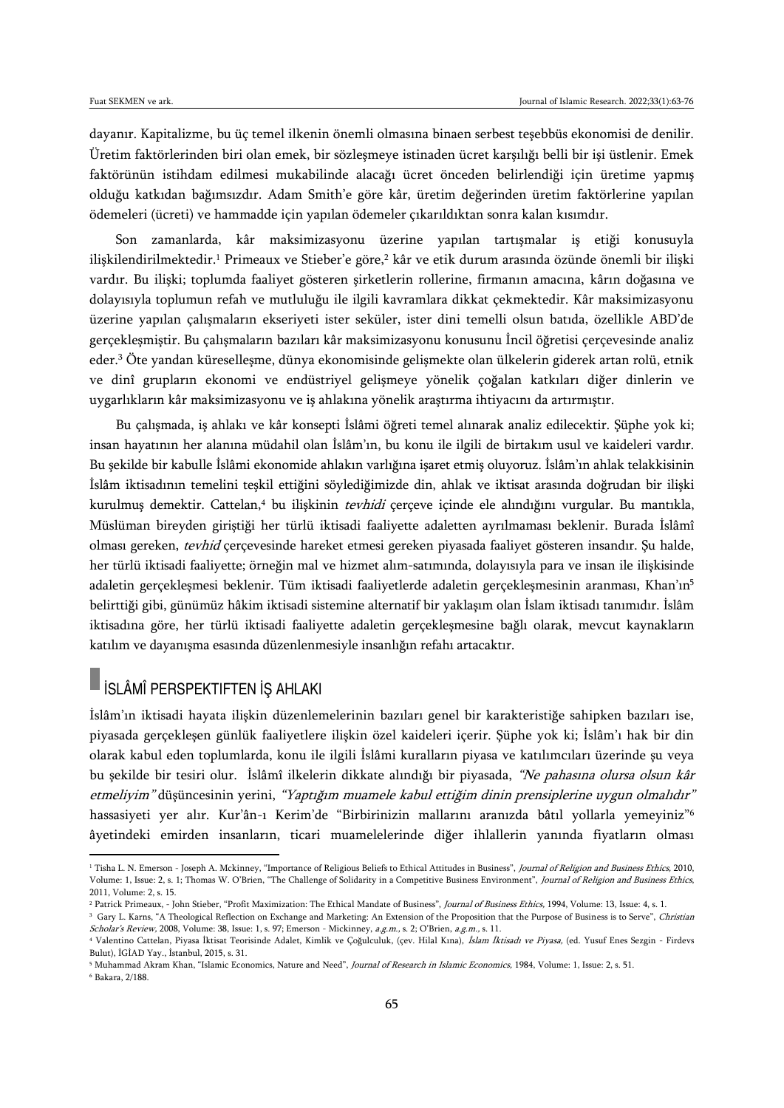dayanır. Kapitalizme, bu üç temel ilkenin önemli olmasına binaen serbest teşebbüs ekonomisi de denilir. Üretim faktörlerinden biri olan emek, bir sözleşmeye istinaden ücret karşılığı belli bir işi üstlenir. Emek faktörünün istihdam edilmesi mukabilinde alacağı ücret önceden belirlendiği için üretime yapmış olduğu katkıdan bağımsızdır. Adam Smith'e göre kâr, üretim değerinden üretim faktörlerine yapılan ödemeleri (ücreti) ve hammadde için yapılan ödemeler çıkarıldıktan sonra kalan kısımdır.

Son zamanlarda, kâr maksimizasyonu üzerine yapılan tartışmalar iş etiği konusuyla ilişkilendirilmektedir.<sup>1</sup> Primeaux ve Stieber'e göre,<sup>2</sup> kâr ve etik durum arasında özünde önemli bir ilişki vardır. Bu ilişki; toplumda faaliyet gösteren şirketlerin rollerine, firmanın amacına, kârın doğasına ve dolayısıyla toplumun refah ve mutluluğu ile ilgili kavramlara dikkat çekmektedir. Kâr maksimizasyonu üzerine yapılan çalışmaların ekseriyeti ister seküler, ister dini temelli olsun batıda, özellikle ABD'de gerçekleşmiştir. Bu çalışmaların bazıları kâr maksimizasyonu konusunu İncil öğretisi çerçevesinde analiz eder.<sup>3</sup> Öte yandan küreselleşme, dünya ekonomisinde gelişmekte olan ülkelerin giderek artan rolü, etnik ve dinî grupların ekonomi ve endüstriyel gelişmeye yönelik çoğalan katkıları diğer dinlerin ve uygarlıkların kâr maksimizasyonu ve iş ahlakına yönelik araştırma ihtiyacını da artırmıştır.

Bu çalışmada, iş ahlakı ve kâr konsepti İslâmi öğreti temel alınarak analiz edilecektir. Şüphe yok ki; insan hayatının her alanına müdahil olan İslâm'ın, bu konu ile ilgili de birtakım usul ve kaideleri vardır. Bu şekilde bir kabulle İslâmi ekonomide ahlakın varlığına işaret etmiş oluyoruz. İslâm'ın ahlak telakkisinin İslâm iktisadının temelini teşkil ettiğini söylediğimizde din, ahlak ve iktisat arasında doğrudan bir ilişki kurulmuş demektir. Cattelan,<sup>4</sup> bu ilişkinin *tevhidi* çerçeve içinde ele alındığını vurgular. Bu mantıkla, Müslüman bireyden giriştiği her türlü iktisadi faaliyette adaletten ayrılmaması beklenir. Burada İslâmî olması gereken, tevhid çerçevesinde hareket etmesi gereken piyasada faaliyet gösteren insandır. Şu halde, her türlü iktisadi faaliyette; örneğin mal ve hizmet alım-satımında, dolayısıyla para ve insan ile ilişkisinde adaletin gerçekleşmesi beklenir. Tüm iktisadi faaliyetlerde adaletin gerçekleşmesinin aranması, Khan'ın<sup>5</sup> belirttiği gibi, günümüz hâkim iktisadi sistemine alternatif bir yaklaşım olan İslam iktisadı tanımıdır. İslâm iktisadına göre, her türlü iktisadi faaliyette adaletin gerçekleşmesine bağlı olarak, mevcut kaynakların katılım ve dayanışma esasında düzenlenmesiyle insanlığın refahı artacaktır.

## İSLÂMÎ PERSPEKTIFTEN İŞ AHLAKI

 $\overline{a}$ 

İslâm'ın iktisadi hayata ilişkin düzenlemelerinin bazıları genel bir karakteristiğe sahipken bazıları ise, piyasada gerçekleşen günlük faaliyetlere ilişkin özel kaideleri içerir. Şüphe yok ki; İslâm'ı hak bir din olarak kabul eden toplumlarda, konu ile ilgili İslâmi kuralların piyasa ve katılımcıları üzerinde şu veya bu şekilde bir tesiri olur. İslâmî ilkelerin dikkate alındığı bir piyasada, "Ne pahasına olursa olsun kâr etmeliyim" düşüncesinin yerini, "Yaptığım muamele kabul ettiğim dinin prensiplerine uygun olmalıdır" hassasiyeti yer alır. Kur'ân-ı Kerim'de "Birbirinizin mallarını aranızda bâtıl yollarla yemeyiniz"<sup>6</sup> âyetindeki emirden insanların, ticari muamelelerinde diğer ihlallerin yanında fiyatların olması

<sup>&</sup>lt;sup>1</sup> Tisha L. N. Emerson - Joseph A. Mckinney, "Importance of Religious Beliefs to Ethical Attitudes in Business", Journal of Religion and Business Ethics, 2010, Volume: 1, Issue: 2, s. 1; Thomas W. O'Brien, "The Challenge of Solidarity in a Competitive Business Environment", Journal of Religion and Business Ethics, 2011, Volume: 2, s. 15.

<sup>&</sup>lt;sup>2</sup> Patrick Primeaux, - John Stieber, "Profit Maximization: The Ethical Mandate of Business", *Journal of Business Ethics*, 1994, Volume: 13, Issue: 4, s. 1.

<sup>&</sup>lt;sup>3</sup> Gary L. Karns, "A Theological Reflection on Exchange and Marketing: An Extension of the Proposition that the Purpose of Business is to Serve", *Christian* Scholar's Review, 2008, Volume: 38, Issue: 1, s. 97; Emerson - Mickinney, a.g.m., s. 2; O'Brien, a.g.m., s. 11.

<sup>&</sup>lt;sup>4</sup> Valentino Cattelan, Piyasa İktisat Teorisinde Adalet, Kimlik ve Çoğulculuk, (çev. Hilal Kına), İslam İktisadı ve Piyasa, (ed. Yusuf Enes Sezgin - Firdevs Bulut), İGİAD Yay., İstanbul, 2015, s. 31.

<sup>&</sup>lt;sup>5</sup> Muhammad Akram Khan, "Islamic Economics, Nature and Need", *Journal of Research in Islamic Economics*, 1984, Volume: 1, Issue: 2, s. 51. <sup>6</sup> Bakara, 2/188.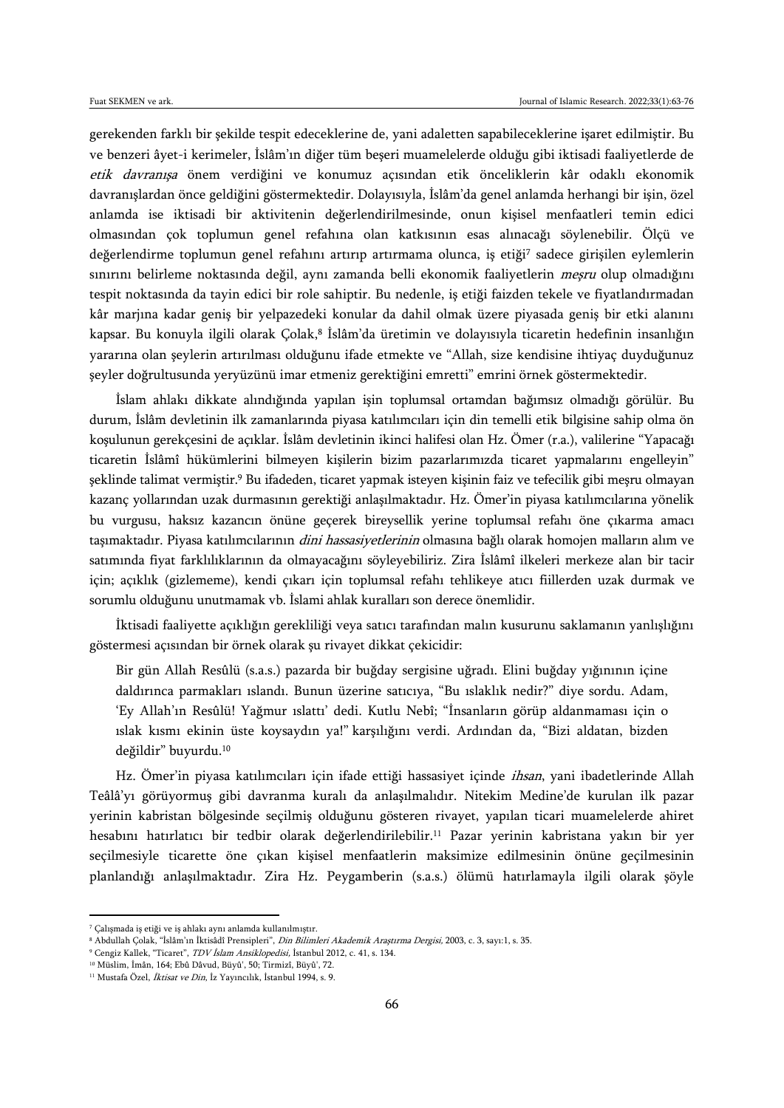gerekenden farklı bir şekilde tespit edeceklerine de, yani adaletten sapabileceklerine işaret edilmiştir. Bu ve benzeri âyet-i kerimeler, İslâm'ın diğer tüm beşeri muamelelerde olduğu gibi iktisadi faaliyetlerde de etik davranışa önem verdiğini ve konumuz açısından etik önceliklerin kâr odaklı ekonomik davranışlardan önce geldiğini göstermektedir. Dolayısıyla, İslâm'da genel anlamda herhangi bir işin, özel anlamda ise iktisadi bir aktivitenin değerlendirilmesinde, onun kişisel menfaatleri temin edici olmasından çok toplumun genel refahına olan katkısının esas alınacağı söylenebilir. Ölçü ve değerlendirme toplumun genel refahını artırıp artırmama olunca, iş etiği<sup>7</sup> sadece girişilen eylemlerin sınırını belirleme noktasında değil, aynı zamanda belli ekonomik faaliyetlerin meşru olup olmadığını tespit noktasında da tayin edici bir role sahiptir. Bu nedenle, iş etiği faizden tekele ve fiyatlandırmadan kâr marjına kadar geniş bir yelpazedeki konular da dahil olmak üzere piyasada geniş bir etki alanını kapsar. Bu konuyla ilgili olarak Çolak,<sup>8</sup> Islâm'da üretimin ve dolayısıyla ticaretin hedefinin insanlığın yararına olan şeylerin artırılması olduğunu ifade etmekte ve "Allah, size kendisine ihtiyaç duyduğunuz şeyler doğrultusunda yeryüzünü imar etmeniz gerektiğini emretti" emrini örnek göstermektedir.

İslam ahlakı dikkate alındığında yapılan işin toplumsal ortamdan bağımsız olmadığı görülür. Bu durum, İslâm devletinin ilk zamanlarında piyasa katılımcıları için din temelli etik bilgisine sahip olma ön koşulunun gerekçesini de açıklar. İslâm devletinin ikinci halifesi olan Hz. Ömer (r.a.), valilerine "Yapacağı ticaretin İslâmî hükümlerini bilmeyen kişilerin bizim pazarlarımızda ticaret yapmalarını engelleyin" şeklinde talimat vermiştir.<sup>9</sup> Bu ifadeden, ticaret yapmak isteyen kişinin faiz ve tefecilik gibi meşru olmayan kazanç yollarından uzak durmasının gerektiği anlaşılmaktadır. Hz. Ömer'in piyasa katılımcılarına yönelik bu vurgusu, haksız kazancın önüne geçerek bireysellik yerine toplumsal refahı öne çıkarma amacı taşımaktadır. Piyasa katılımcılarının dini hassasiyetlerinin olmasına bağlı olarak homojen malların alım ve satımında fiyat farklılıklarının da olmayacağını söyleyebiliriz. Zira İslâmî ilkeleri merkeze alan bir tacir için; açıklık (gizlememe), kendi çıkarı için toplumsal refahı tehlikeye atıcı fiillerden uzak durmak ve sorumlu olduğunu unutmamak vb. İslami ahlak kuralları son derece önemlidir.

İktisadi faaliyette açıklığın gerekliliği veya satıcı tarafından malın kusurunu saklamanın yanlışlığını göstermesi açısından bir örnek olarak şu rivayet dikkat çekicidir:

Bir gün Allah Resûlü (s.a.s.) pazarda bir buğday sergisine uğradı. Elini buğday yığınının içine daldırınca parmakları ıslandı. Bunun üzerine satıcıya, "Bu ıslaklık nedir?" diye sordu. Adam, 'Ey Allah'ın Resûlü! Yağmur ıslattı' dedi. Kutlu Nebî; "İnsanların görüp aldanmaması için o ıslak kısmı ekinin üste koysaydın ya!" karşılığını verdi. Ardından da, "Bizi aldatan, bizden değildir" buyurdu.<sup>10</sup>

Hz. Ömer'in piyasa katılımcıları için ifade ettiği hassasiyet içinde ihsan, yani ibadetlerinde Allah Teâlâ'yı görüyormuş gibi davranma kuralı da anlaşılmalıdır. Nitekim Medine'de kurulan ilk pazar yerinin kabristan bölgesinde seçilmiş olduğunu gösteren rivayet, yapılan ticari muamelelerde ahiret hesabını hatırlatıcı bir tedbir olarak değerlendirilebilir.<sup>11</sup> Pazar yerinin kabristana yakın bir yer seçilmesiyle ticarette öne çıkan kişisel menfaatlerin maksimize edilmesinin önüne geçilmesinin planlandığı anlaşılmaktadır. Zira Hz. Peygamberin (s.a.s.) ölümü hatırlamayla ilgili olarak şöyle

<sup>7</sup> Çalışmada iş etiği ve iş ahlakı aynı anlamda kullanılmıştır.

<sup>&</sup>lt;sup>8</sup> Abdullah Çolak, "İslâm'ın İktisâdî Prensipleri", Din Bilimleri Akademik Araştırma Dergisi, 2003, c. 3, sayı:1, s. 35.

<sup>9</sup> Cengiz Kallek, "Ticaret", TDV İslam Ansiklopedisi, İstanbul 2012, c. 41, s. 134.

<sup>10</sup> Müslim, İmân, 164; Ebû Dâvud, Büyû', 50; Tirmizî, Büyû', 72.

<sup>&</sup>lt;sup>11</sup> Mustafa Özel, İktisat ve Din, İz Yayıncılık, İstanbul 1994, s. 9.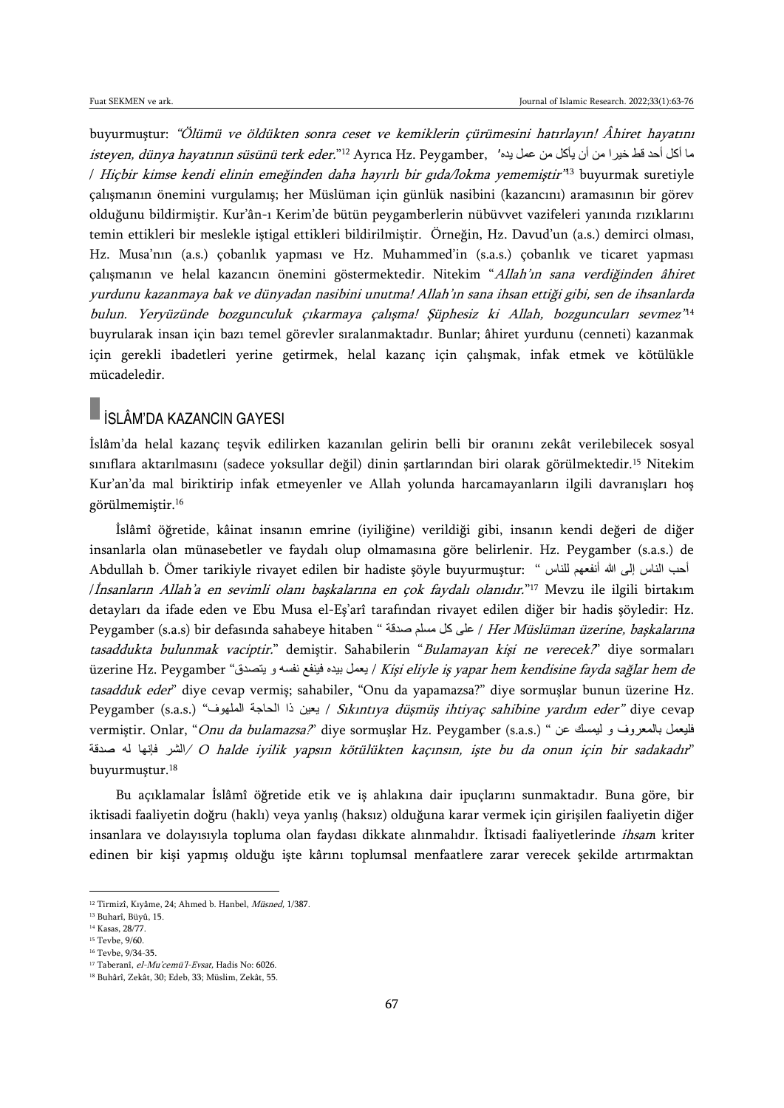buyurmuştur: "Ölümü ve öldükten sonra ceset ve kemiklerin çürümesini hatırlayın! Âhiret hayatını  $i$ s*teyen, dünya hayatının süsünü terk eder.*" $^{12}$  Ayrıca Hz. Peygamber, ما أكل أحد قط خيرا من أن يأكل من عمل يده' / *Hiçbir kimse kendi elinin emeğinden daha hayırlı bir gıda/lokma yememiştir'<sup>n3</sup> buyurmak suretiyle* çalışmanın önemini vurgulamış; her Müslüman için günlük nasibini (kazancını) aramasının bir görev olduğunu bildirmiştir. Kur'ân-ı Kerim'de bütün peygamberlerin nübüvvet vazifeleri yanında rızıklarını temin ettikleri bir meslekle iştigal ettikleri bildirilmiştir. Örneğin, Hz. Davud'un (a.s.) demirci olması, Hz. Musa'nın (a.s.) çobanlık yapması ve Hz. Muhammed'in (s.a.s.) çobanlık ve ticaret yapması çalışmanın ve helal kazancın önemini göstermektedir. Nitekim "Allah'ın sana verdiğinden âhiret yurdunu kazanmaya bak ve dünyadan nasibini unutma! Allah'ın sana ihsan ettiği gibi, sen de ihsanlarda bulun. Yeryüzünde bozgunculuk çıkarmaya çalışma! Şüphesiz ki Allah, bozguncuları sevmez" 14 buyrularak insan için bazı temel görevler sıralanmaktadır. Bunlar; âhiret yurdunu (cenneti) kazanmak için gerekli ibadetleri yerine getirmek, helal kazanç için çalışmak, infak etmek ve kötülükle mücadeledir.

## İSLÂM'DA KAZANCIN GAYESI

İslâm'da helal kazanç teşvik edilirken kazanılan gelirin belli bir oranını zekât verilebilecek sosyal sınıflara aktarılmasını (sadece yoksullar değil) dinin şartlarından biri olarak görülmektedir.<sup>15</sup> Nitekim Kur'an'da mal biriktirip infak etmeyenler ve Allah yolunda harcamayanların ilgili davranışları hoş görülmemiştir.<sup>16</sup>

İslâmî öğretide, kâinat insanın emrine (iyiliğine) verildiği gibi, insanın kendi değeri de diğer insanlarla olan münasebetler ve faydalı olup olmamasına göre belirlenir. Hz. Peygamber (s.a.s.) de Abdullah b. Ömer tarikiyle rivayet edilen bir hadiste şöyle buyurmuştur: " للناس أنفعهم هللا إلى الناس أحب /İnsanların Allah'a en sevimli olanı başkalarına en çok faydalı olanıdır." <sup>17</sup> Mevzu ile ilgili birtakım detayları da ifade eden ve Ebu Musa el-Eş'arî tarafından rivayet edilen diğer bir hadis şöyledir: Hz. Peygamber (s.a.s) bir defasında sahabeye hitaben " صدقة مسلم كل على / Her Müslüman üzerine, başkalarına tasaddukta bulunmak vaciptir." demiştir. Sahabilerin "Bulamayan kişi ne verecek?" diye sormaları üzerine Hz. Peygamber "ايعمل بيده فينفع نفسه و يتصدق / Kişi eliyle iş yapar hem kendisine fayda sağlar hem de tasadduk eder" diye cevap vermiş; sahabiler, "Onu da yapamazsa?" diye sormuşlar bunun üzerine Hz. Peygamber (s.a.s.) "بعين ذا الحاجة الملهوف" / Sıkıntıya düşmüş ihtiyaç sahibine yardım eder" diye cevap vermiştir. Onlar, "Onu da bulamazsa?" diye sormuşlar Hz. Peygamber (s.a.s.) " عن ليمسك و بالمعروف فليعمل الشر فإنها له صدقة $\rm\sim$  O halde iyilik yapsın kötülükten kaçınsın, işte bu da onun için bir sadakadır" buyurmuştur.<sup>18</sup>

Bu açıklamalar İslâmî öğretide etik ve iş ahlakına dair ipuçlarını sunmaktadır. Buna göre, bir iktisadi faaliyetin doğru (haklı) veya yanlış (haksız) olduğuna karar vermek için girişilen faaliyetin diğer insanlara ve dolayısıyla topluma olan faydası dikkate alınmalıdır. İktisadi faaliyetlerinde ihsam kriter edinen bir kişi yapmış olduğu işte kârını toplumsal menfaatlere zarar verecek şekilde artırmaktan

<sup>12</sup> Tirmizî, Kıyâme, 24; Ahmed b. Hanbel, Müsned, 1/387.

<sup>13</sup> Buharî, Büyû, 15.

<sup>14</sup> Kasas, 28/77.

<sup>15</sup> Tevbe, 9/60.

<sup>16</sup> Tevbe, 9/34-35.

<sup>&</sup>lt;sup>17</sup> Taberanî, *el-Mu'cemü'l-Evsat*, Hadis No: 6026.

<sup>18</sup> Buhârî, Zekât, 30; Edeb, 33; Müslim, Zekât, 55.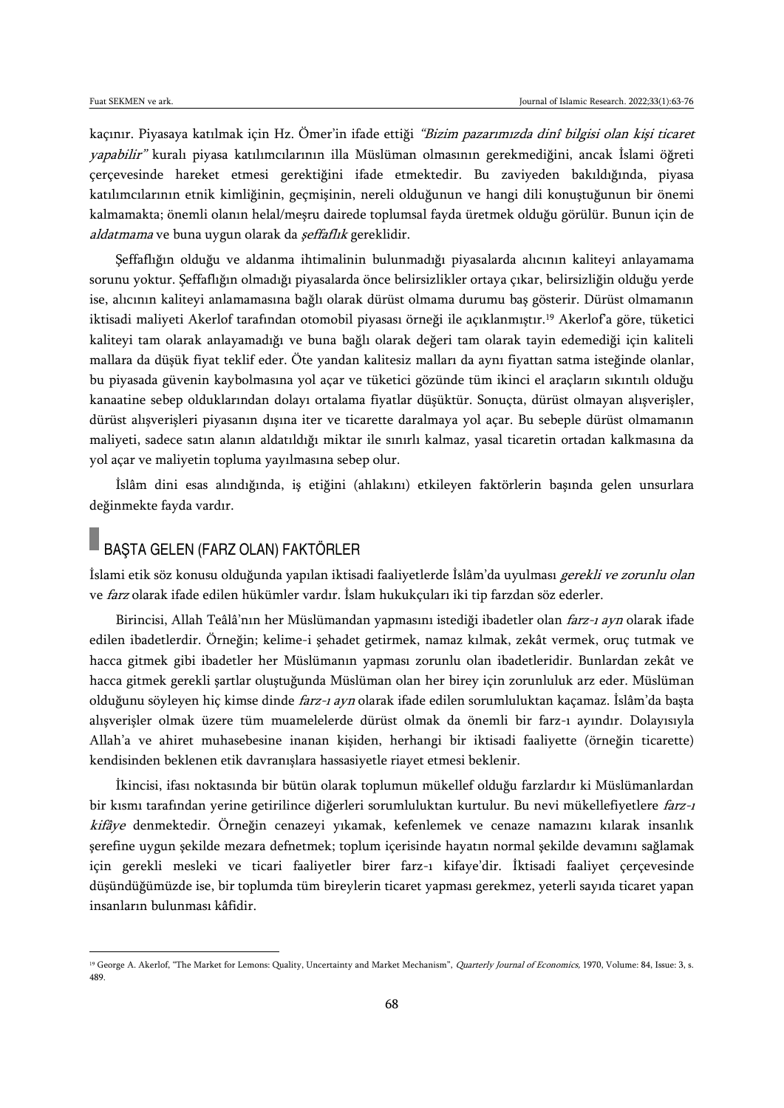$\overline{a}$ 

kaçınır. Piyasaya katılmak için Hz. Ömer'in ifade ettiği "Bizim pazarımızda dinî bilgisi olan kişi ticaret yapabilir" kuralı piyasa katılımcılarının illa Müslüman olmasının gerekmediğini, ancak İslami öğreti çerçevesinde hareket etmesi gerektiğini ifade etmektedir. Bu zaviyeden bakıldığında, piyasa katılımcılarının etnik kimliğinin, geçmişinin, nereli olduğunun ve hangi dili konuştuğunun bir önemi kalmamakta; önemli olanın helal/meşru dairede toplumsal fayda üretmek olduğu görülür. Bunun için de aldatmama ve buna uygun olarak da *şeffaflık* gereklidir.

Şeffaflığın olduğu ve aldanma ihtimalinin bulunmadığı piyasalarda alıcının kaliteyi anlayamama sorunu yoktur. Şeffaflığın olmadığı piyasalarda önce belirsizlikler ortaya çıkar, belirsizliğin olduğu yerde ise, alıcının kaliteyi anlamamasına bağlı olarak dürüst olmama durumu baş gösterir. Dürüst olmamanın iktisadi maliyeti Akerlof tarafından otomobil piyasası örneği ile açıklanmıştır.<sup>19</sup> Akerlof'a göre, tüketici kaliteyi tam olarak anlayamadığı ve buna bağlı olarak değeri tam olarak tayin edemediği için kaliteli mallara da düşük fiyat teklif eder. Öte yandan kalitesiz malları da aynı fiyattan satma isteğinde olanlar, bu piyasada güvenin kaybolmasına yol açar ve tüketici gözünde tüm ikinci el araçların sıkıntılı olduğu kanaatine sebep olduklarından dolayı ortalama fiyatlar düşüktür. Sonuçta, dürüst olmayan alışverişler, dürüst alışverişleri piyasanın dışına iter ve ticarette daralmaya yol açar. Bu sebeple dürüst olmamanın maliyeti, sadece satın alanın aldatıldığı miktar ile sınırlı kalmaz, yasal ticaretin ortadan kalkmasına da yol açar ve maliyetin topluma yayılmasına sebep olur.

İslâm dini esas alındığında, iş etiğini (ahlakını) etkileyen faktörlerin başında gelen unsurlara değinmekte fayda vardır.

### BAŞTA GELEN (FARZ OLAN) FAKTÖRLER

İslami etik söz konusu olduğunda yapılan iktisadi faaliyetlerde İslâm'da uyulması gerekli ve zorunlu olan ve farz olarak ifade edilen hükümler vardır. İslam hukukçuları iki tip farzdan söz ederler.

Birincisi, Allah Teâlâ'nın her Müslümandan yapmasını istediği ibadetler olan farz-ı ayn olarak ifade edilen ibadetlerdir. Örneğin; kelime-i şehadet getirmek, namaz kılmak, zekât vermek, oruç tutmak ve hacca gitmek gibi ibadetler her Müslümanın yapması zorunlu olan ibadetleridir. Bunlardan zekât ve hacca gitmek gerekli şartlar oluştuğunda Müslüman olan her birey için zorunluluk arz eder. Müslüman olduğunu söyleyen hiç kimse dinde farz-ı ayn olarak ifade edilen sorumluluktan kaçamaz. İslâm'da başta alışverişler olmak üzere tüm muamelelerde dürüst olmak da önemli bir farz-ı ayındır. Dolayısıyla Allah'a ve ahiret muhasebesine inanan kişiden, herhangi bir iktisadi faaliyette (örneğin ticarette) kendisinden beklenen etik davranışlara hassasiyetle riayet etmesi beklenir.

İkincisi, ifası noktasında bir bütün olarak toplumun mükellef olduğu farzlardır ki Müslümanlardan bir kısmı tarafından yerine getirilince diğerleri sorumluluktan kurtulur. Bu nevi mükellefiyetlere farz-1 kifâye denmektedir. Örneğin cenazeyi yıkamak, kefenlemek ve cenaze namazını kılarak insanlık şerefine uygun şekilde mezara defnetmek; toplum içerisinde hayatın normal şekilde devamını sağlamak için gerekli mesleki ve ticari faaliyetler birer farz-ı kifaye'dir. İktisadi faaliyet çerçevesinde düşündüğümüzde ise, bir toplumda tüm bireylerin ticaret yapması gerekmez, yeterli sayıda ticaret yapan insanların bulunması kâfidir.

<sup>&</sup>lt;sup>19</sup> George A. Akerlof, "The Market for Lemons: Quality, Uncertainty and Market Mechanism", *Quarterly Journal of Economics*, 1970, Volume: 84, Issue: 3, s. 489.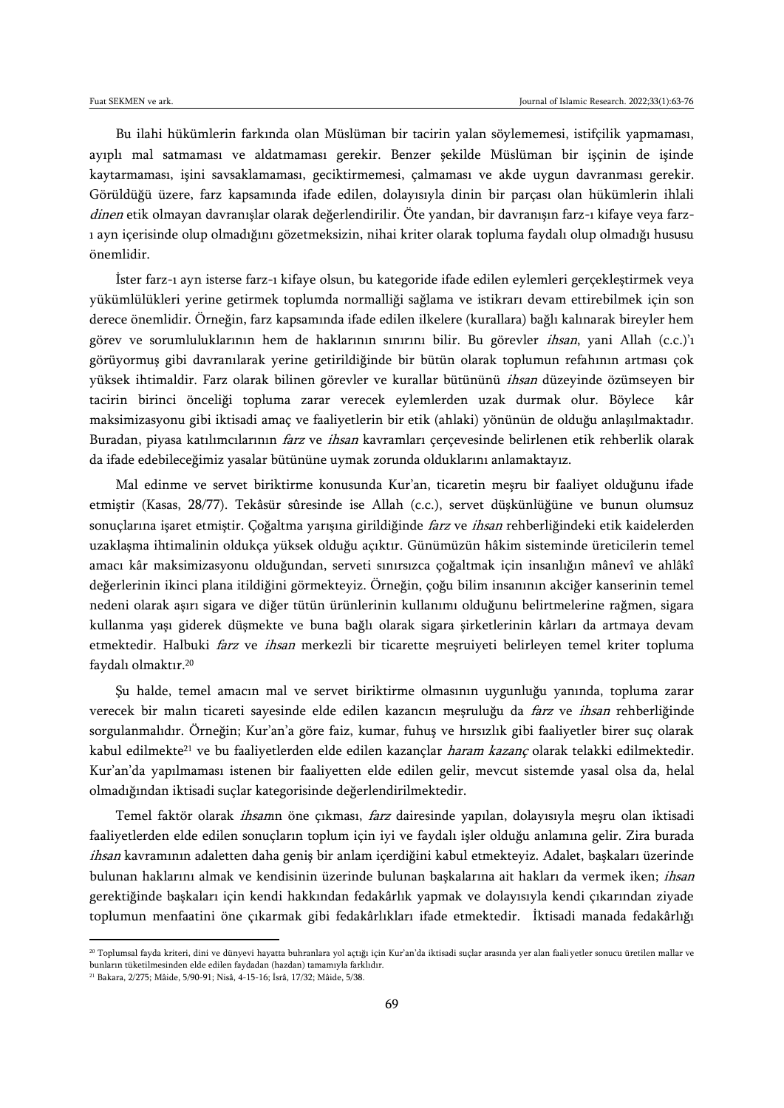Bu ilahi hükümlerin farkında olan Müslüman bir tacirin yalan söylememesi, istifçilik yapmaması, ayıplı mal satmaması ve aldatmaması gerekir. Benzer şekilde Müslüman bir işçinin de işinde kaytarmaması, işini savsaklamaması, geciktirmemesi, çalmaması ve akde uygun davranması gerekir. Görüldüğü üzere, farz kapsamında ifade edilen, dolayısıyla dinin bir parçası olan hükümlerin ihlali dinen etik olmayan davranışlar olarak değerlendirilir. Öte yandan, bir davranışın farz-ı kifaye veya farzı ayn içerisinde olup olmadığını gözetmeksizin, nihai kriter olarak topluma faydalı olup olmadığı hususu önemlidir.

İster farz-ı ayn isterse farz-ı kifaye olsun, bu kategoride ifade edilen eylemleri gerçekleştirmek veya yükümlülükleri yerine getirmek toplumda normalliği sağlama ve istikrarı devam ettirebilmek için son derece önemlidir. Örneğin, farz kapsamında ifade edilen ilkelere (kurallara) bağlı kalınarak bireyler hem görev ve sorumluluklarının hem de haklarının sınırını bilir. Bu görevler *ihsan*, yani Allah (c.c.)'ı görüyormuş gibi davranılarak yerine getirildiğinde bir bütün olarak toplumun refahının artması çok yüksek ihtimaldir. Farz olarak bilinen görevler ve kurallar bütününü ihsan düzeyinde özümseyen bir tacirin birinci önceliği topluma zarar verecek eylemlerden uzak durmak olur. Böylece kâr maksimizasyonu gibi iktisadi amaç ve faaliyetlerin bir etik (ahlaki) yönünün de olduğu anlaşılmaktadır. Buradan, piyasa katılımcılarının *farz* ve *ihsan* kavramları çerçevesinde belirlenen etik rehberlik olarak da ifade edebileceğimiz yasalar bütününe uymak zorunda olduklarını anlamaktayız.

Mal edinme ve servet biriktirme konusunda Kur'an, ticaretin meşru bir faaliyet olduğunu ifade etmiştir (Kasas, 28/77). Tekâsür sûresinde ise Allah (c.c.), servet düşkünlüğüne ve bunun olumsuz sonuçlarına işaret etmiştir. Çoğaltma yarışına girildiğinde farz ve ihsan rehberliğindeki etik kaidelerden uzaklaşma ihtimalinin oldukça yüksek olduğu açıktır. Günümüzün hâkim sisteminde üreticilerin temel amacı kâr maksimizasyonu olduğundan, serveti sınırsızca çoğaltmak için insanlığın mânevî ve ahlâkî değerlerinin ikinci plana itildiğini görmekteyiz. Örneğin, çoğu bilim insanının akciğer kanserinin temel nedeni olarak aşırı sigara ve diğer tütün ürünlerinin kullanımı olduğunu belirtmelerine rağmen, sigara kullanma yaşı giderek düşmekte ve buna bağlı olarak sigara şirketlerinin kârları da artmaya devam etmektedir. Halbuki *farz* ve *ihsan* merkezli bir ticarette meşruiyeti belirleyen temel kriter topluma faydalı olmaktır.<sup>20</sup>

Şu halde, temel amacın mal ve servet biriktirme olmasının uygunluğu yanında, topluma zarar verecek bir malın ticareti sayesinde elde edilen kazancın meşruluğu da *farz* ve *ihsan* rehberliğinde sorgulanmalıdır. Örneğin; Kur'an'a göre faiz, kumar, fuhuş ve hırsızlık gibi faaliyetler birer suç olarak kabul edilmekte<sup>21</sup> ve bu faaliyetlerden elde edilen kazançlar *haram kazanç* olarak telakki edilmektedir. Kur'an'da yapılmaması istenen bir faaliyetten elde edilen gelir, mevcut sistemde yasal olsa da, helal olmadığından iktisadi suçlar kategorisinde değerlendirilmektedir.

Temel faktör olarak *ihsan*ın öne çıkması, *farz* dairesinde yapılan, dolayısıyla meşru olan iktisadi faaliyetlerden elde edilen sonuçların toplum için iyi ve faydalı işler olduğu anlamına gelir. Zira burada ihsan kavramının adaletten daha geniş bir anlam içerdiğini kabul etmekteyiz. Adalet, başkaları üzerinde bulunan haklarını almak ve kendisinin üzerinde bulunan başkalarına ait hakları da vermek iken; ihsan gerektiğinde başkaları için kendi hakkından fedakârlık yapmak ve dolayısıyla kendi çıkarından ziyade toplumun menfaatini öne çıkarmak gibi fedakârlıkları ifade etmektedir. İktisadi manada fedakârlığı

<sup>20</sup> Toplumsal fayda kriteri, dini ve dünyevi hayatta buhranlara yol açtığı için Kur'an'da iktisadi suçlar arasında yer alan faaliyetler sonucu üretilen mallar ve bunların tüketilmesinden elde edilen faydadan (hazdan) tamamıyla farklıdır.

<sup>21</sup> Bakara, 2/275; Mâide, 5/90-91; Nisâ, 4-15-16; İsrâ, 17/32; Mâide, 5/38.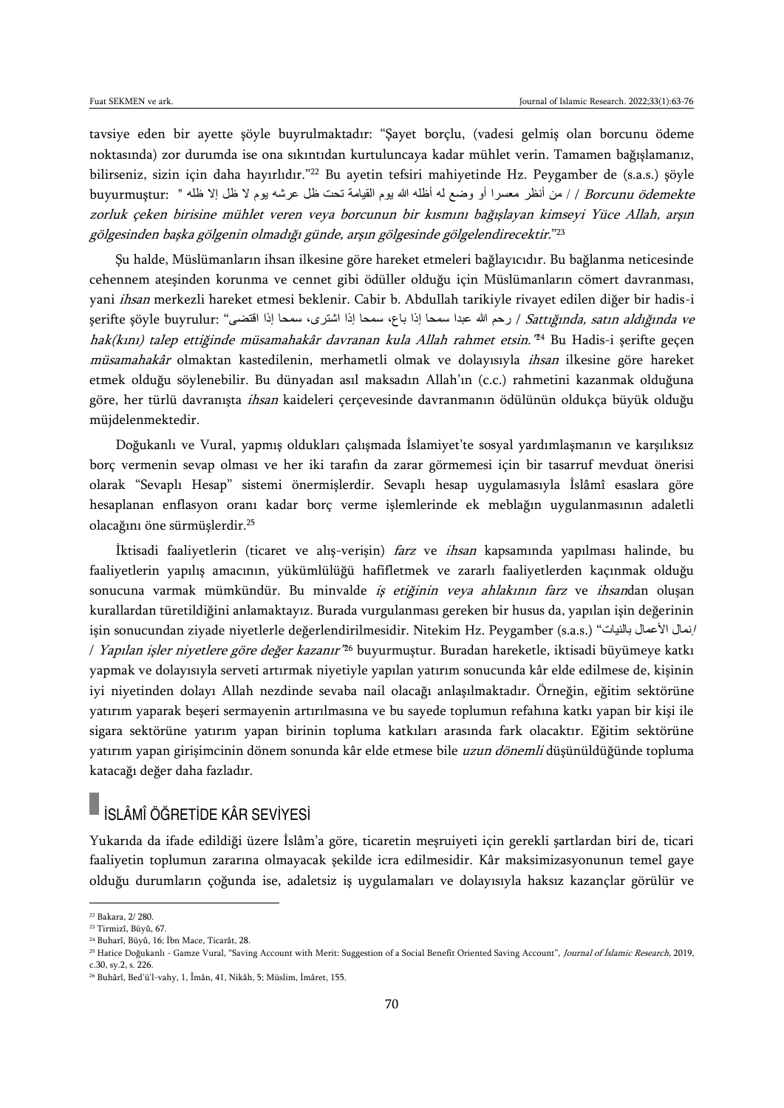tavsiye eden bir ayette şöyle buyrulmaktadır: "Şayet borçlu, (vadesi gelmiş olan borcunu ödeme noktasında) zor durumda ise ona sıkıntıdan kurtuluncaya kadar mühlet verin. Tamamen bağışlamanız, bilirseniz, sizin için daha hayırlıdır."<sup>22</sup> Bu ayetin tefsiri mahiyetinde Hz. Peygamber de (s.a.s.) şöyle buyurmuştur: " / من أنظر معسرا أو وضع له أظله الله يوم القيامة تحت ظل عرشه يوم لا ظل إلا ظله " :buyurmuştur zorluk çeken birisine mühlet veren veya borcunun bir kısmını bağışlayan kimseyi Yüce Allah, arşın gölgesinden başka gölgenin olmadığı günde, arşın gölgesinde gölgelendirecektir." 23

Şu halde, Müslümanların ihsan ilkesine göre hareket etmeleri bağlayıcıdır. Bu bağlanma neticesinde cehennem ateşinden korunma ve cennet gibi ödüller olduğu için Müslümanların cömert davranması, yani *ihsan* merkezli hareket etmesi beklenir. Cabir b. Abdullah tarikiyle rivayet edilen diğer bir hadis-i şerifte şöyle buyrulur: "رحم الله عبدا سمحا إذا باع، سمحا إذا اشترى، سمحا إذا اقتضى " :şerifte şöyle buyrulur hak(kını) talep ettiğinde müsamahakâr davranan kula Allah rahmet etsin." <sup>24</sup> Bu Hadis-i şerifte geçen müsamahakâr olmaktan kastedilenin, merhametli olmak ve dolayısıyla ihsan ilkesine göre hareket etmek olduğu söylenebilir. Bu dünyadan asıl maksadın Allah'ın (c.c.) rahmetini kazanmak olduğuna göre, her türlü davranışta ihsan kaideleri çerçevesinde davranmanın ödülünün oldukça büyük olduğu müjdelenmektedir.

Doğukanlı ve Vural, yapmış oldukları çalışmada İslamiyet'te sosyal yardımlaşmanın ve karşılıksız borç vermenin sevap olması ve her iki tarafın da zarar görmemesi için bir tasarruf mevduat önerisi olarak "Sevaplı Hesap" sistemi önermişlerdir. Sevaplı hesap uygulamasıyla İslâmî esaslara göre hesaplanan enflasyon oranı kadar borç verme işlemlerinde ek meblağın uygulanmasının adaletli olacağını öne sürmüşlerdir.<sup>25</sup>

İktisadi faaliyetlerin (ticaret ve alış-verişin) farz ve ihsan kapsamında yapılması halinde, bu faaliyetlerin yapılış amacının, yükümlülüğü hafifletmek ve zararlı faaliyetlerden kaçınmak olduğu sonucuna varmak mümkündür. Bu minvalde iş etiğinin veya ahlakının farz ve ihsandan oluşan kurallardan türetildiğini anlamaktayız. Burada vurgulanması gereken bir husus da, yapılan işin değerinin işin sonucundan ziyade niyetlerle değerlendirilmesidir. Nitekim Hz. Peygamber (s.a.s.) "بالنيات األعمال إنمال / *Yapılan işler niyetlere göre değer kazanır'*<sup>z6</sup> buyurmuştur. Buradan hareketle, iktisadi büyümeye katkı yapmak ve dolayısıyla serveti artırmak niyetiyle yapılan yatırım sonucunda kâr elde edilmese de, kişinin iyi niyetinden dolayı Allah nezdinde sevaba nail olacağı anlaşılmaktadır. Örneğin, eğitim sektörüne yatırım yaparak beşeri sermayenin artırılmasına ve bu sayede toplumun refahına katkı yapan bir kişi ile sigara sektörüne yatırım yapan birinin topluma katkıları arasında fark olacaktır. Eğitim sektörüne yatırım yapan girişimcinin dönem sonunda kâr elde etmese bile uzun dönemli düşünüldüğünde topluma katacağı değer daha fazladır.

## İSLÂMÎ ÖĞRETİDE KÂR SEVİYESİ

Yukarıda da ifade edildiği üzere İslâm'a göre, ticaretin meşruiyeti için gerekli şartlardan biri de, ticari faaliyetin toplumun zararına olmayacak şekilde icra edilmesidir. Kâr maksimizasyonunun temel gaye olduğu durumların çoğunda ise, adaletsiz iş uygulamaları ve dolayısıyla haksız kazançlar görülür ve

<sup>22</sup> Bakara, 2/ 280.

<sup>23</sup> Tirmizî, Büyû, 67.

<sup>24</sup> Buharî, Büyû, 16; İbn Mace, Ticarât, 28.

<sup>&</sup>lt;sup>25</sup> Hatice Doğukanlı - Gamze Vural, "Saving Account with Merit: Suggestion of a Social Benefit Oriented Saving Account", Journal of İslamic Research, 2019, c.30, sy.2, s. 226.

<sup>26</sup> Buhârî, Bed'ü'l-vahy, 1, Îmân, 41, Nikâh, 5; Müslim, İmâret, 155.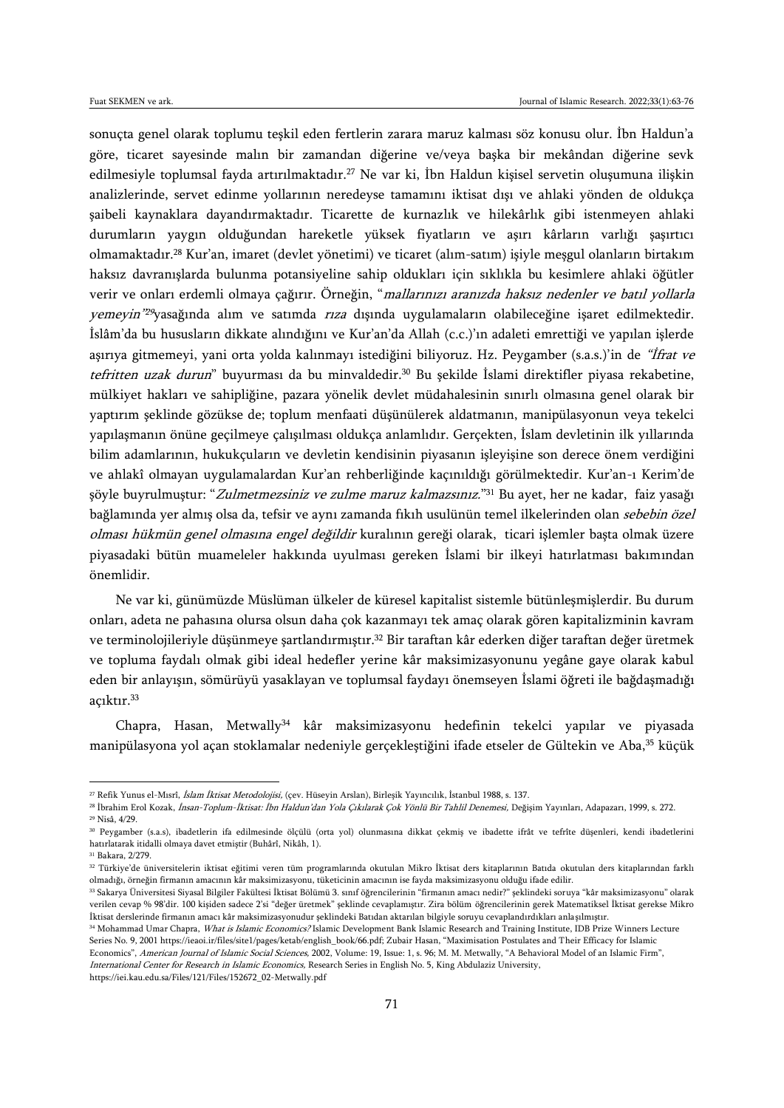sonuçta genel olarak toplumu teşkil eden fertlerin zarara maruz kalması söz konusu olur. İbn Haldun'a göre, ticaret sayesinde malın bir zamandan diğerine ve/veya başka bir mekândan diğerine sevk edilmesiyle toplumsal fayda artırılmaktadır.<sup>27</sup> Ne var ki, İbn Haldun kişisel servetin oluşumuna ilişkin analizlerinde, servet edinme yollarının neredeyse tamamını iktisat dışı ve ahlaki yönden de oldukça şaibeli kaynaklara dayandırmaktadır. Ticarette de kurnazlık ve hilekârlık gibi istenmeyen ahlaki durumların yaygın olduğundan hareketle yüksek fiyatların ve aşırı kârların varlığı şaşırtıcı olmamaktadır.<sup>28</sup> Kur'an, imaret (devlet yönetimi) ve ticaret (alım-satım) işiyle meşgul olanların birtakım haksız davranışlarda bulunma potansiyeline sahip oldukları için sıklıkla bu kesimlere ahlaki öğütler verir ve onları erdemli olmaya çağırır. Örneğin, "mallarınızı aranızda haksız nedenler ve batıl yollarla yemeyin" <sup>29</sup>yasağında alım ve satımda rıza dışında uygulamaların olabileceğine işaret edilmektedir. İslâm'da bu hususların dikkate alındığını ve Kur'an'da Allah (c.c.)'ın adaleti emrettiği ve yapılan işlerde aşırıya gitmemeyi, yani orta yolda kalınmayı istediğini biliyoruz. Hz. Peygamber (s.a.s.)'in de "İfrat ve tefritten uzak durun" buyurması da bu minvaldedir.<sup>30</sup> Bu şekilde İslami direktifler piyasa rekabetine, mülkiyet hakları ve sahipliğine, pazara yönelik devlet müdahalesinin sınırlı olmasına genel olarak bir yaptırım şeklinde gözükse de; toplum menfaati düşünülerek aldatmanın, manipülasyonun veya tekelci yapılaşmanın önüne geçilmeye çalışılması oldukça anlamlıdır. Gerçekten, İslam devletinin ilk yıllarında bilim adamlarının, hukukçuların ve devletin kendisinin piyasanın işleyişine son derece önem verdiğini ve ahlakî olmayan uygulamalardan Kur'an rehberliğinde kaçınıldığı görülmektedir. Kur'an-ı Kerim'de şöyle buyrulmuştur: "*Zulmetmezsiniz ve zulme maruz kalmazsınız.*"<sup>31</sup> Bu ayet, her ne kadar, faiz yasağı bağlamında yer almış olsa da, tefsir ve aynı zamanda fıkıh usulünün temel ilkelerinden olan sebebin özel olması hükmün genel olmasına engel değildir kuralının gereği olarak, ticari işlemler başta olmak üzere piyasadaki bütün muameleler hakkında uyulması gereken İslami bir ilkeyi hatırlatması bakımından önemlidir.

Ne var ki, günümüzde Müslüman ülkeler de küresel kapitalist sistemle bütünleşmişlerdir. Bu durum onları, adeta ne pahasına olursa olsun daha çok kazanmayı tek amaç olarak gören kapitalizminin kavram ve terminolojileriyle düşünmeye şartlandırmıştır.<sup>32</sup> Bir taraftan kâr ederken diğer taraftan değer üretmek ve topluma faydalı olmak gibi ideal hedefler yerine kâr maksimizasyonunu yegâne gaye olarak kabul eden bir anlayışın, sömürüyü yasaklayan ve toplumsal faydayı önemseyen İslami öğreti ile bağdaşmadığı açıktır.<sup>33</sup>

Chapra, Hasan, Metwally<sup>34</sup> kâr maksimizasyonu hedefinin tekelci yapılar ve piyasada manipülasyona yol açan stoklamalar nedeniyle gerçekleştiğini ifade etseler de Gültekin ve Aba,<sup>35</sup> küçük

 $\overline{a}$ 

https://iei.kau.edu.sa/Files/121/Files/152672\_02-Metwally.pdf

<sup>&</sup>lt;sup>27</sup> Refik Yunus el-Mısrî, İslam İktisat Metodolojisi, (çev. Hüseyin Arslan), Birleşik Yayıncılık, İstanbul 1988, s. 137.

<sup>&</sup>lt;sup>28</sup> İbrahim Erol Kozak, İnsan-Toplum-İktisat: İbn Haldun'dan Yola Çıkılarak Çok Yönlü Bir Tahlil Denemesi, Değişim Yayınları, Adapazarı, 1999, s. 272. <sup>29</sup> Nisâ, 4/29.

<sup>30</sup> Peygamber (s.a.s), ibadetlerin ifa edilmesinde ölçülü (orta yol) olunmasına dikkat çekmiş ve ibadette ifrât ve tefrîte düşenleri, kendi ibadetlerini hatırlatarak itidalli olmaya davet etmiştir (Buhârî, Nikâh, 1).

<sup>31</sup> Bakara, 2/279.

<sup>&</sup>lt;sup>32</sup> Türkiye'de üniversitelerin iktisat eğitimi veren tüm programlarında okutulan Mikro İktisat ders kitaplan okutulan ders kitaplarından farklı olmadığı, örneğin firmanın amacının kâr maksimizasyonu, tüketicinin amacının ise fayda maksimizasyonu olduğu ifade edilir.

<sup>33</sup> Sakarya Üniversitesi Siyasal Bilgiler Fakültesi İktisat Bölümü 3. sınıf öğrencilerinin "firmanın amacı nedir?" şeklindeki soruya "kâr maksimizasyonu" olarak verilen cevap % 98'dir. 100 kişiden sadece 2'si "değer üretmek" şeklinde cevaplamıştır. Zira bölüm öğrencilerinin gerek Matematiksel İktisat gerekse Mikro İktisat derslerinde firmanın amacı kâr maksimizasyonudur şeklindeki Batıdan aktarılan bilgiyle soruyu cevaplandırdıkları anlaşılmıştır.

<sup>&</sup>lt;sup>34</sup> Mohammad Umar Chapra, What is Islamic Economics? Islamic Development Bank Islamic Research and Training Institute, IDB Prize Winners Lecture Series No. 9, 2001 https://ieaoi.ir/files/site1/pages/ketab/english\_book/66.pdf; Zubair Hasan, "Maximisation Postulates and Their Efficacy for Islamic Economics", American Journal of Islamic Social Sciences, 2002, Volume: 19, Issue: 1, s. 96; M. M. Metwally, "A Behavioral Model of an Islamic Firm", International Center for Research in Islamic Economics, Research Series in English No. 5, King Abdulaziz University,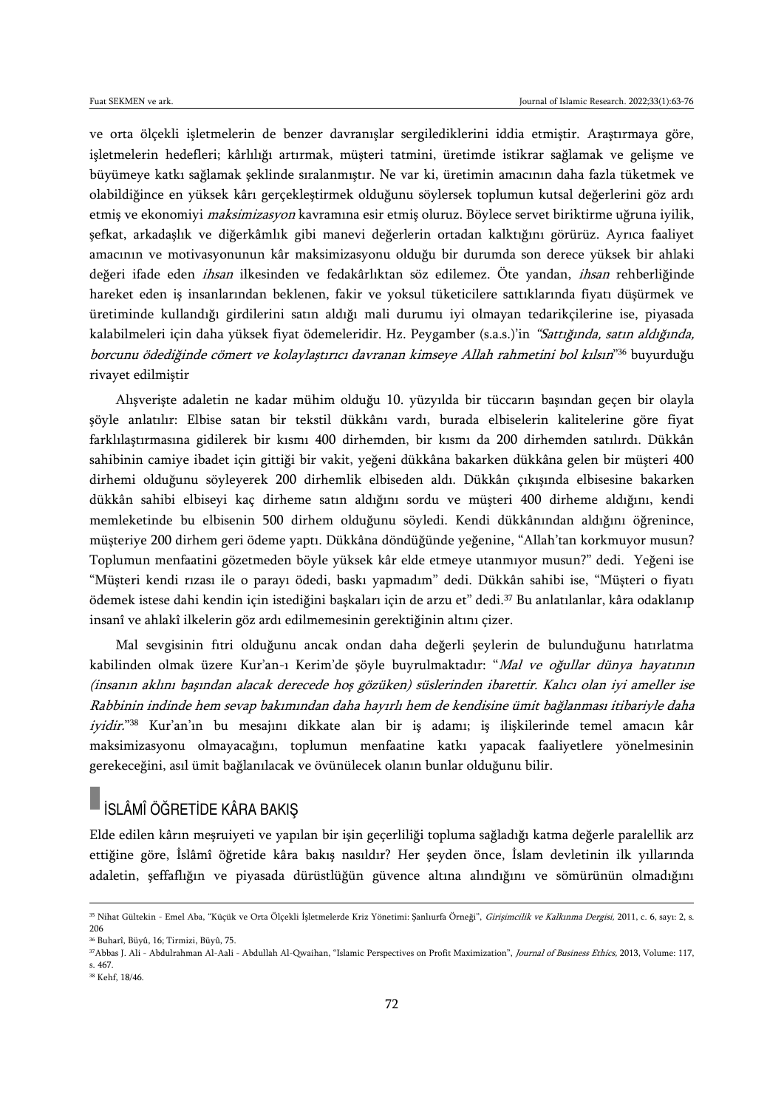ve orta ölçekli işletmelerin de benzer davranışlar sergilediklerini iddia etmiştir. Araştırmaya göre, işletmelerin hedefleri; kârlılığı artırmak, müşteri tatmini, üretimde istikrar sağlamak ve gelişme ve büyümeye katkı sağlamak şeklinde sıralanmıştır. Ne var ki, üretimin amacının daha fazla tüketmek ve olabildiğince en yüksek kârı gerçekleştirmek olduğunu söylersek toplumun kutsal değerlerini göz ardı etmiş ve ekonomiyi *maksimizasyon* kavramına esir etmiş oluruz. Böylece servet biriktirme uğruna iyilik, şefkat, arkadaşlık ve diğerkâmlık gibi manevi değerlerin ortadan kalktığını görürüz. Ayrıca faaliyet amacının ve motivasyonunun kâr maksimizasyonu olduğu bir durumda son derece yüksek bir ahlaki değeri ifade eden *ihsan* ilkesinden ve fedakârlıktan söz edilemez. Öte yandan, *ihsan* rehberliğinde hareket eden iş insanlarından beklenen, fakir ve yoksul tüketicilere sattıklarında fiyatı düşürmek ve üretiminde kullandığı girdilerini satın aldığı mali durumu iyi olmayan tedarikçilerine ise, piyasada kalabilmeleri için daha yüksek fiyat ödemeleridir. Hz. Peygamber (s.a.s.)'in "Sattığında, satın aldığında, borcunu ödediğinde cömert ve kolaylaştırıcı davranan kimseye Allah rahmetini bol kılsın" <sup>36</sup> buyurduğu rivayet edilmiştir

Alışverişte adaletin ne kadar mühim olduğu 10. yüzyılda bir tüccarın başından geçen bir olayla şöyle anlatılır: Elbise satan bir tekstil dükkânı vardı, burada elbiselerin kalitelerine göre fiyat farklılaştırmasına gidilerek bir kısmı 400 dirhemden, bir kısmı da 200 dirhemden satılırdı. Dükkân sahibinin camiye ibadet için gittiği bir vakit, yeğeni dükkâna bakarken dükkâna gelen bir müşteri 400 dirhemi olduğunu söyleyerek 200 dirhemlik elbiseden aldı. Dükkân çıkışında elbisesine bakarken dükkân sahibi elbiseyi kaç dirheme satın aldığını sordu ve müşteri 400 dirheme aldığını, kendi memleketinde bu elbisenin 500 dirhem olduğunu söyledi. Kendi dükkânından aldığını öğrenince, müşteriye 200 dirhem geri ödeme yaptı. Dükkâna döndüğünde yeğenine, "Allah'tan korkmuyor musun? Toplumun menfaatini gözetmeden böyle yüksek kâr elde etmeye utanmıyor musun?" dedi. Yeğeni ise "Müşteri kendi rızası ile o parayı ödedi, baskı yapmadım" dedi. Dükkân sahibi ise, "Müşteri o fiyatı ödemek istese dahi kendin için istediğini başkaları için de arzu et" dedi.<sup>37</sup> Bu anlatılanlar, kâra odaklanıp insanî ve ahlakî ilkelerin göz ardı edilmemesinin gerektiğinin altını çizer.

Mal sevgisinin fıtri olduğunu ancak ondan daha değerli şeylerin de bulunduğunu hatırlatma kabilinden olmak üzere Kur'an-ı Kerim'de şöyle buyrulmaktadır: "Mal ve oğullar dünya hayatının (insanın aklını başından alacak derecede hoş gözüken) süslerinden ibarettir. Kalıcı olan iyi ameller ise Rabbinin indinde hem sevap bakımından daha hayırlı hem de kendisine ümit bağlanması itibariyle daha *iyidir.*"<sup>38</sup> Kur'an'ın bu mesajını dikkate alan bir iş adamı; iş ilişkilerinde temel amacın kâr maksimizasyonu olmayacağını, toplumun menfaatine katkı yapacak faaliyetlere yönelmesinin gerekeceğini, asıl ümit bağlanılacak ve övünülecek olanın bunlar olduğunu bilir.

## İSLÂMÎ ÖĞRETİDE KÂRA BAKIŞ

Elde edilen kârın meşruiyeti ve yapılan bir işin geçerliliği topluma sağladığı katma değerle paralellik arz ettiğine göre, İslâmî öğretide kâra bakış nasıldır? Her şeyden önce, İslam devletinin ilk yıllarında adaletin, şeffaflığın ve piyasada dürüstlüğün güvence altına alındığını ve sömürünün olmadığını

<sup>&</sup>lt;sup>35</sup> Nihat Gültekin - Emel Aba, "Küçük ve Orta Olçekli İşletmelerde Kriz Yönetimi: Şanlıurfa Orneği", *Girişimcilik ve Kalkınma Dergisi,* 2011, c. 6, sayı: 2, s. 206

<sup>36</sup> Buharî, Büyû, 16; Tirmizi, Büyû, 75.

<sup>37</sup>Abbas J. Ali - Abdulrahman Al-Aali - Abdullah Al-Qwaihan, "Islamic Perspectives on Profit Maximization", Journal of Business Ethics, 2013, Volume: 117, s. 467.

<sup>38</sup> Kehf, 18/46.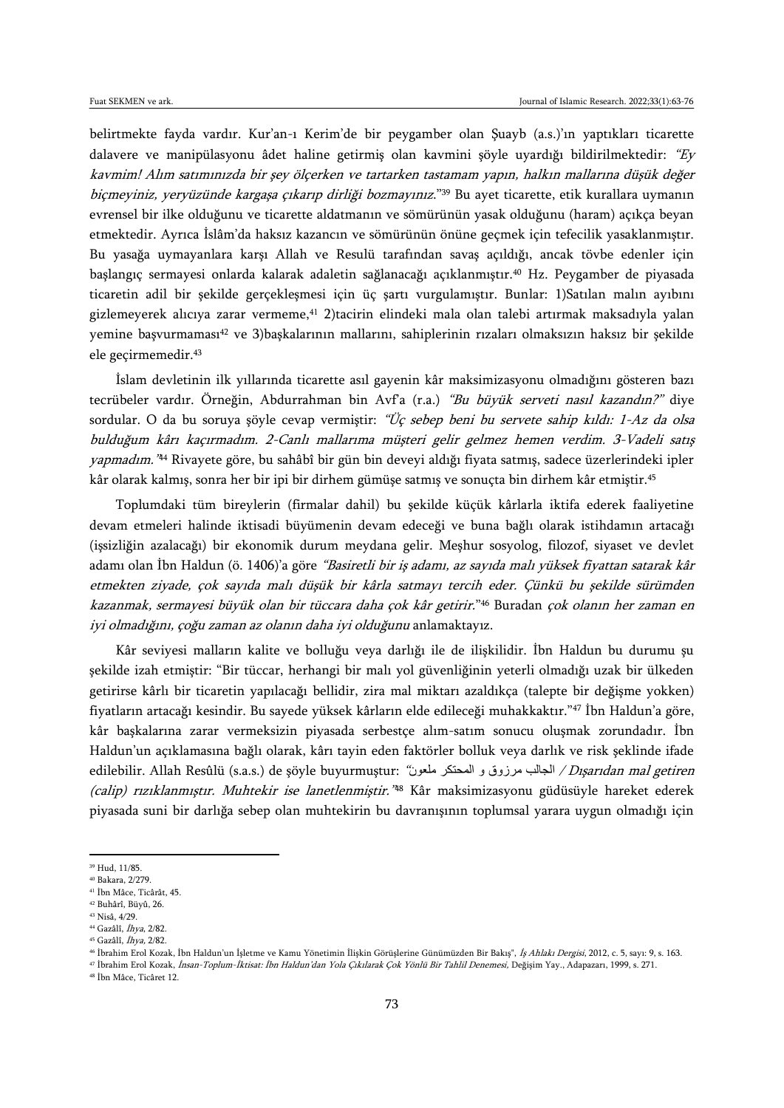belirtmekte fayda vardır. Kur'an-ı Kerim'de bir peygamber olan Şuayb (a.s.)'ın yaptıkları ticarette dalavere ve manipülasyonu âdet haline getirmiş olan kavmini şöyle uyardığı bildirilmektedir: "Ey kavmim! Alım satımınızda bir şey ölçerken ve tartarken tastamam yapın, halkın mallarına düşük değer biçmeyiniz, yeryüzünde kargaşa çıkarıp dirliği bozmayınız."<sup>39</sup> Bu ayet ticarette, etik kurallara uymanın evrensel bir ilke olduğunu ve ticarette aldatmanın ve sömürünün yasak olduğunu (haram) açıkça beyan etmektedir. Ayrıca İslâm'da haksız kazancın ve sömürünün önüne geçmek için tefecilik yasaklanmıştır. Bu yasağa uymayanlara karşı Allah ve Resulü tarafından savaş açıldığı, ancak tövbe edenler için başlangıç sermayesi onlarda kalarak adaletin sağlanacağı açıklanmıştır.<sup>40</sup> Hz. Peygamber de piyasada ticaretin adil bir şekilde gerçekleşmesi için üç şartı vurgulamıştır. Bunlar: 1)Satılan malın ayıbını gizlemeyerek alıcıya zarar vermeme,<sup>41</sup> 2)tacirin elindeki mala olan talebi artırmak maksadıyla yalan yemine başvurmaması<sup>42</sup> ve 3)başkalarının mallarını, sahiplerinin rızaları olmaksızın haksız bir şekilde ele geçirmemedir.<sup>43</sup>

İslam devletinin ilk yıllarında ticarette asıl gayenin kâr maksimizasyonu olmadığını gösteren bazı tecrübeler vardır. Örneğin, Abdurrahman bin Avf'a (r.a.) "Bu büyük serveti nasıl kazandın?" diye sordular. O da bu soruya şöyle cevap vermiştir: "Üç sebep beni bu servete sahip kıldı: 1-Az da olsa bulduğum kârı kaçırmadım. 2-Canlı mallarıma müşteri gelir gelmez hemen verdim. 3-Vadeli satış *yapmadım."*44 Rivayete göre, bu sahâbî bir gün bin deveyi aldığı fiyata satmış, sadece üzerlerindeki ipler kâr olarak kalmış, sonra her bir ipi bir dirhem gümüşe satmış ve sonuçta bin dirhem kâr etmiştir.<sup>45</sup>

Toplumdaki tüm bireylerin (firmalar dahil) bu şekilde küçük kârlarla iktifa ederek faaliyetine devam etmeleri halinde iktisadi büyümenin devam edeceği ve buna bağlı olarak istihdamın artacağı (işsizliğin azalacağı) bir ekonomik durum meydana gelir. Meşhur sosyolog, filozof, siyaset ve devlet adamı olan İbn Haldun (ö. 1406)'a göre "Basiretli bir iş adamı, az sayıda malı yüksek fiyattan satarak kâr etmekten ziyade, çok sayıda malı düşük bir kârla satmayı tercih eder. Çünkü bu şekilde sürümden kazanmak, sermayesi büyük olan bir tüccara daha çok kâr getirir." <sup>46</sup> Buradan çok olanın her zaman en iyi olmadığını, çoğu zaman az olanın daha iyi olduğunu anlamaktayız.

Kâr seviyesi malların kalite ve bolluğu veya darlığı ile de ilişkilidir. İbn Haldun bu durumu şu şekilde izah etmiştir: "Bir tüccar, herhangi bir malı yol güvenliğinin yeterli olmadığı uzak bir ülkeden getirirse kârlı bir ticaretin yapılacağı bellidir, zira mal miktarı azaldıkça (talepte bir değişme yokken) fiyatların artacağı kesindir. Bu sayede yüksek kârların elde edileceği muhakkaktır."<sup>47</sup> İbn Haldun'a göre, kâr başkalarına zarar vermeksizin piyasada serbestçe alım-satım sonucu oluşmak zorundadır. İbn Haldun'un açıklamasına bağlı olarak, kârı tayin eden faktörler bolluk veya darlık ve risk şeklinde ifade edilebilir. Allah Resûlü (s.a.s.) de şöyle buyurmuştur: "ملعون المحتكر ملعون / Dışarıdan mal getiren (calip) rızıklanmıştır. Muhtekir ise lanetlenmiştir." <sup>48</sup> Kâr maksimizasyonu güdüsüyle hareket ederek piyasada suni bir darlığa sebep olan muhtekirin bu davranışının toplumsal yarara uygun olmadığı için

 $\overline{a}$ 

<sup>44</sup> Gazâlî, İhya, 2/82.

<sup>39</sup> Hud, 11/85.

<sup>40</sup> Bakara, 2/279.

<sup>41</sup> İbn Mâce, Ticârât, 45.

<sup>42</sup> Buhârî, Büyû, 26. <sup>43</sup> Nisâ, 4/29.

<sup>45</sup> Gazâlî, İhya, 2/82.

<sup>46</sup> İbrahim Erol Kozak, İbn Haldun'un İşletme ve Kamu Yönetimin İlişkin Görüşlerine Günümüzden Bir Bakış", İş Ahlakı Dergisi, 2012, c. 5, sayı: 9, s. 163.

<sup>47</sup> İbrahim Erol Kozak, İnsan-Toplum-İktisat: İbn Haldun'dan Yola Çıkılarak Çok Yönlü Bir Tahlil Denemesi, Değişim Yay., Adapazarı, 1999, s. 271. <sup>48</sup> İbn Mâce, Ticâret 12.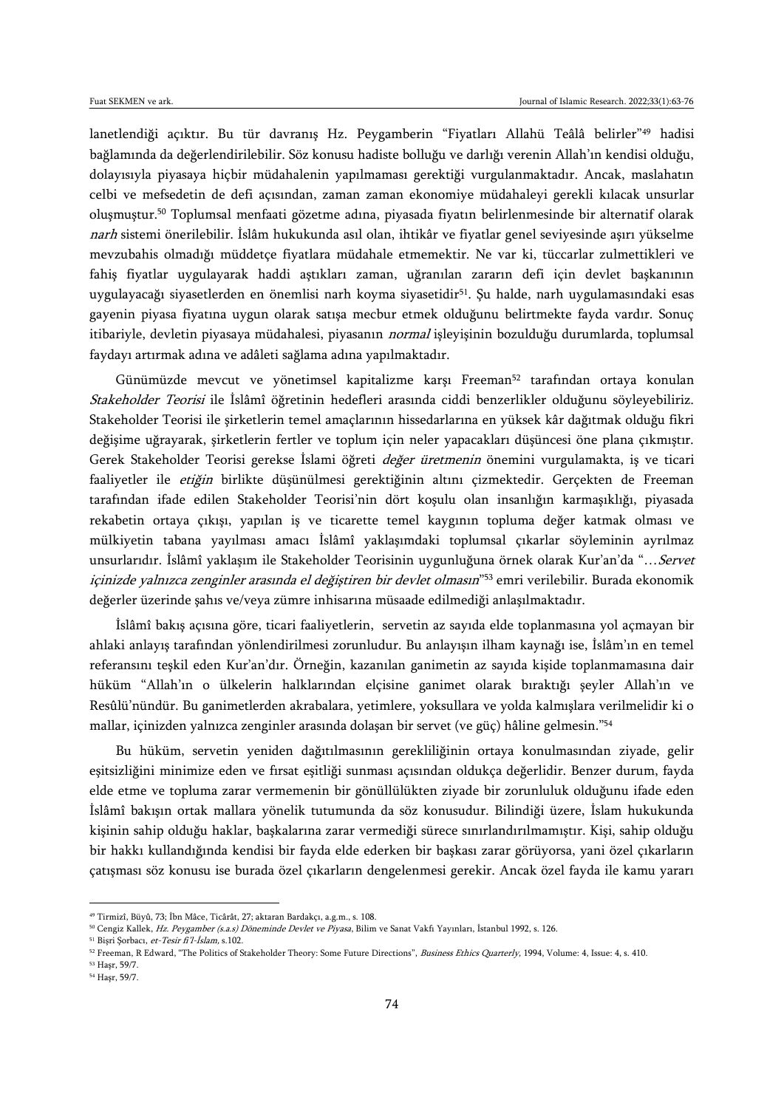lanetlendiği açıktır. Bu tür davranış Hz. Peygamberin "Fiyatları Allahü Teâlâ belirler"<sup>49</sup> hadisi bağlamında da değerlendirilebilir. Söz konusu hadiste bolluğu ve darlığı verenin Allah'ın kendisi olduğu, dolayısıyla piyasaya hiçbir müdahalenin yapılmaması gerektiği vurgulanmaktadır. Ancak, maslahatın celbi ve mefsedetin de defi açısından, zaman zaman ekonomiye müdahaleyi gerekli kılacak unsurlar oluşmuştur.<sup>50</sup> Toplumsal menfaati gözetme adına, piyasada fiyatın belirlenmesinde bir alternatif olarak narh sistemi önerilebilir. İslâm hukukunda asıl olan, ihtikâr ve fiyatlar genel seviyesinde aşırı yükselme mevzubahis olmadığı müddetçe fiyatlara müdahale etmemektir. Ne var ki, tüccarlar zulmettikleri ve fahiş fiyatlar uygulayarak haddi aştıkları zaman, uğranılan zararın defi için devlet başkanının uygulayacağı siyasetlerden en önemlisi narh koyma siyasetidir<sup>51</sup>. Şu halde, narh uygulamasındaki esas gayenin piyasa fiyatına uygun olarak satışa mecbur etmek olduğunu belirtmekte fayda vardır. Sonuç itibariyle, devletin piyasaya müdahalesi, piyasanın normal işleyişinin bozulduğu durumlarda, toplumsal faydayı artırmak adına ve adâleti sağlama adına yapılmaktadır.

Günümüzde mevcut ve yönetimsel kapitalizme karşı Freeman<sup>52</sup> tarafından ortaya konulan Stakeholder Teorisi ile İslâmî öğretinin hedefleri arasında ciddi benzerlikler olduğunu söyleyebiliriz. Stakeholder Teorisi ile şirketlerin temel amaçlarının hissedarlarına en yüksek kâr dağıtmak olduğu fikri değişime uğrayarak, şirketlerin fertler ve toplum için neler yapacakları düşüncesi öne plana çıkmıştır. Gerek Stakeholder Teorisi gerekse İslami öğreti değer üretmenin önemini vurgulamakta, iş ve ticari faaliyetler ile etiğin birlikte düşünülmesi gerektiğinin altını çizmektedir. Gerçekten de Freeman tarafından ifade edilen Stakeholder Teorisi'nin dört koşulu olan insanlığın karmaşıklığı, piyasada rekabetin ortaya çıkışı, yapılan iş ve ticarette temel kaygının topluma değer katmak olması ve mülkiyetin tabana yayılması amacı İslâmî yaklaşımdaki toplumsal çıkarlar söyleminin ayrılmaz unsurlarıdır. İslâmî yaklaşım ile Stakeholder Teorisinin uygunluğuna örnek olarak Kur'an'da "... Servet *içinizde yalnızca zenginler arasında el değiştiren bir devlet olmasın*"<sup>53</sup> emri verilebilir. Burada ekonomik değerler üzerinde şahıs ve/veya zümre inhisarına müsaade edilmediği anlaşılmaktadır.

İslâmî bakış açısına göre, ticari faaliyetlerin, servetin az sayıda elde toplanmasına yol açmayan bir ahlaki anlayış tarafından yönlendirilmesi zorunludur. Bu anlayışın ilham kaynağı ise, İslâm'ın en temel referansını teşkil eden Kur'an'dır. Örneğin, kazanılan ganimetin az sayıda kişide toplanmamasına dair hüküm "Allah'ın o ülkelerin halklarından elçisine ganimet olarak bıraktığı şeyler Allah'ın ve Resûlü'nündür. Bu ganimetlerden akrabalara, yetimlere, yoksullara ve yolda kalmışlara verilmelidir ki o mallar, içinizden yalnızca zenginler arasında dolaşan bir servet (ve güç) hâline gelmesin."<sup>54</sup>

Bu hüküm, servetin yeniden dağıtılmasının gerekliliğinin ortaya konulmasından ziyade, gelir eşitsizliğini minimize eden ve fırsat eşitliği sunması açısından oldukça değerlidir. Benzer durum, fayda elde etme ve topluma zarar vermemenin bir gönüllülükten ziyade bir zorunluluk olduğunu ifade eden İslâmî bakışın ortak mallara yönelik tutumunda da söz konusudur. Bilindiği üzere, İslam hukukunda kişinin sahip olduğu haklar, başkalarına zarar vermediği sürece sınırlandırılmamıştır. Kişi, sahip olduğu bir hakkı kullandığında kendisi bir fayda elde ederken bir başkası zarar görüyorsa, yani özel çıkarların çatışması söz konusu ise burada özel çıkarların dengelenmesi gerekir. Ancak özel fayda ile kamu yararı

<sup>49</sup> Tirmizî, Büyû, 73; İbn Mâce, Ticârât, 27; aktaran Bardakçı, a.g.m., s. 108.

<sup>50</sup> Cengiz Kallek, Hz. Peygamber (s.a.s) Döneminde Devlet ve Piyasa, Bilim ve Sanat Vakfı Yayınları, İstanbul 1992, s. 126.

<sup>51</sup> Bişri Şorbacı, et-Tesir fi'l-İslam, s.102.

<sup>52</sup> Freeman, R Edward, "The Politics of Stakeholder Theory: Some Future Directions", Business Ethics Quarterly, 1994, Volume: 4, Issue: 4, s. 410.

<sup>53</sup> Haşr, 59/7.

<sup>54</sup> Haşr, 59/7.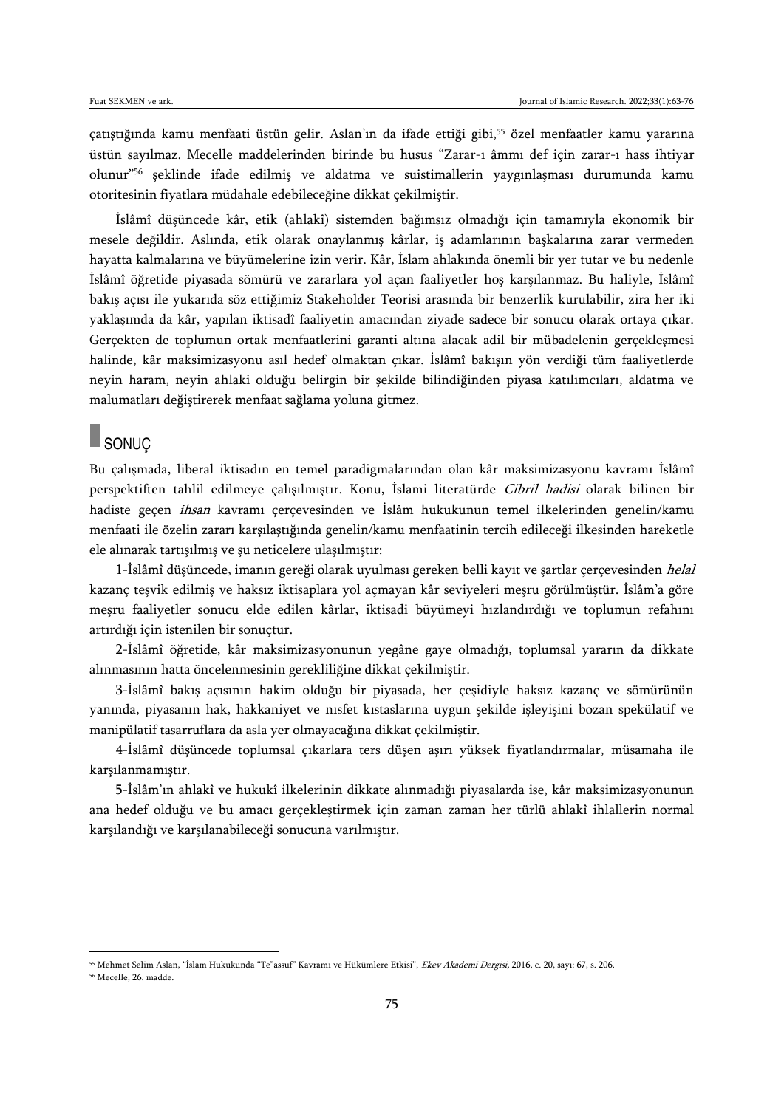çatıştığında kamu menfaati üstün gelir. Aslan'ın da ifade ettiği gibi,<sup>55</sup> özel menfaatler kamu yararına üstün sayılmaz. Mecelle maddelerinden birinde bu husus "Zarar-ı âmmı def için zarar-ı hass ihtiyar olunur"<sup>56</sup> şeklinde ifade edilmiş ve aldatma ve suistimallerin yaygınlaşması durumunda kamu otoritesinin fiyatlara müdahale edebileceğine dikkat çekilmiştir.

İslâmî düşüncede kâr, etik (ahlakî) sistemden bağımsız olmadığı için tamamıyla ekonomik bir mesele değildir. Aslında, etik olarak onaylanmış kârlar, iş adamlarının başkalarına zarar vermeden hayatta kalmalarına ve büyümelerine izin verir. Kâr, İslam ahlakında önemli bir yer tutar ve bu nedenle İslâmî öğretide piyasada sömürü ve zararlara yol açan faaliyetler hoş karşılanmaz. Bu haliyle, İslâmî bakış açısı ile yukarıda söz ettiğimiz Stakeholder Teorisi arasında bir benzerlik kurulabilir, zira her iki yaklaşımda da kâr, yapılan iktisadî faaliyetin amacından ziyade sadece bir sonucu olarak ortaya çıkar. Gerçekten de toplumun ortak menfaatlerini garanti altına alacak adil bir mübadelenin gerçekleşmesi halinde, kâr maksimizasyonu asıl hedef olmaktan çıkar. İslâmî bakışın yön verdiği tüm faaliyetlerde neyin haram, neyin ahlaki olduğu belirgin bir şekilde bilindiğinden piyasa katılımcıları, aldatma ve malumatları değiştirerek menfaat sağlama yoluna gitmez.

## SONUÇ

Bu çalışmada, liberal iktisadın en temel paradigmalarından olan kâr maksimizasyonu kavramı İslâmî perspektiften tahlil edilmeye çalışılmıştır. Konu, İslami literatürde Cibril hadisi olarak bilinen bir hadiste geçen ihsan kavramı çerçevesinden ve İslâm hukukunun temel ilkelerinden genelin/kamu menfaati ile özelin zararı karşılaştığında genelin/kamu menfaatinin tercih edileceği ilkesinden hareketle ele alınarak tartışılmış ve şu neticelere ulaşılmıştır:

1-İslâmî düşüncede, imanın gereği olarak uyulması gereken belli kayıt ve şartlar çerçevesinden helal kazanç teşvik edilmiş ve haksız iktisaplara yol açmayan kâr seviyeleri meşru görülmüştür. İslâm'a göre meşru faaliyetler sonucu elde edilen kârlar, iktisadi büyümeyi hızlandırdığı ve toplumun refahını artırdığı için istenilen bir sonuçtur.

2-İslâmî öğretide, kâr maksimizasyonunun yegâne gaye olmadığı, toplumsal yararın da dikkate alınmasının hatta öncelenmesinin gerekliliğine dikkat çekilmiştir.

3-İslâmî bakış açısının hakim olduğu bir piyasada, her çeşidiyle haksız kazanç ve sömürünün yanında, piyasanın hak, hakkaniyet ve nısfet kıstaslarına uygun şekilde işleyişini bozan spekülatif ve manipülatif tasarruflara da asla yer olmayacağına dikkat çekilmiştir.

4-İslâmî düşüncede toplumsal çıkarlara ters düşen aşırı yüksek fiyatlandırmalar, müsamaha ile karşılanmamıştır.

5-İslâm'ın ahlakî ve hukukî ilkelerinin dikkate alınmadığı piyasalarda ise, kâr maksimizasyonunun ana hedef olduğu ve bu amacı gerçekleştirmek için zaman zaman her türlü ahlakî ihlallerin normal karşılandığı ve karşılanabileceği sonucuna varılmıştır.

<sup>&</sup>lt;sup>55</sup> Mehmet Selim Aslan, "İslam Hukukunda "Te"assuf" Kavramı ve Hükümlere Etkisi", *Ekev Akademi Dergisi*, 2016, c. 20, sayı: 67, s. 206.

<sup>56</sup> Mecelle, 26. madde.